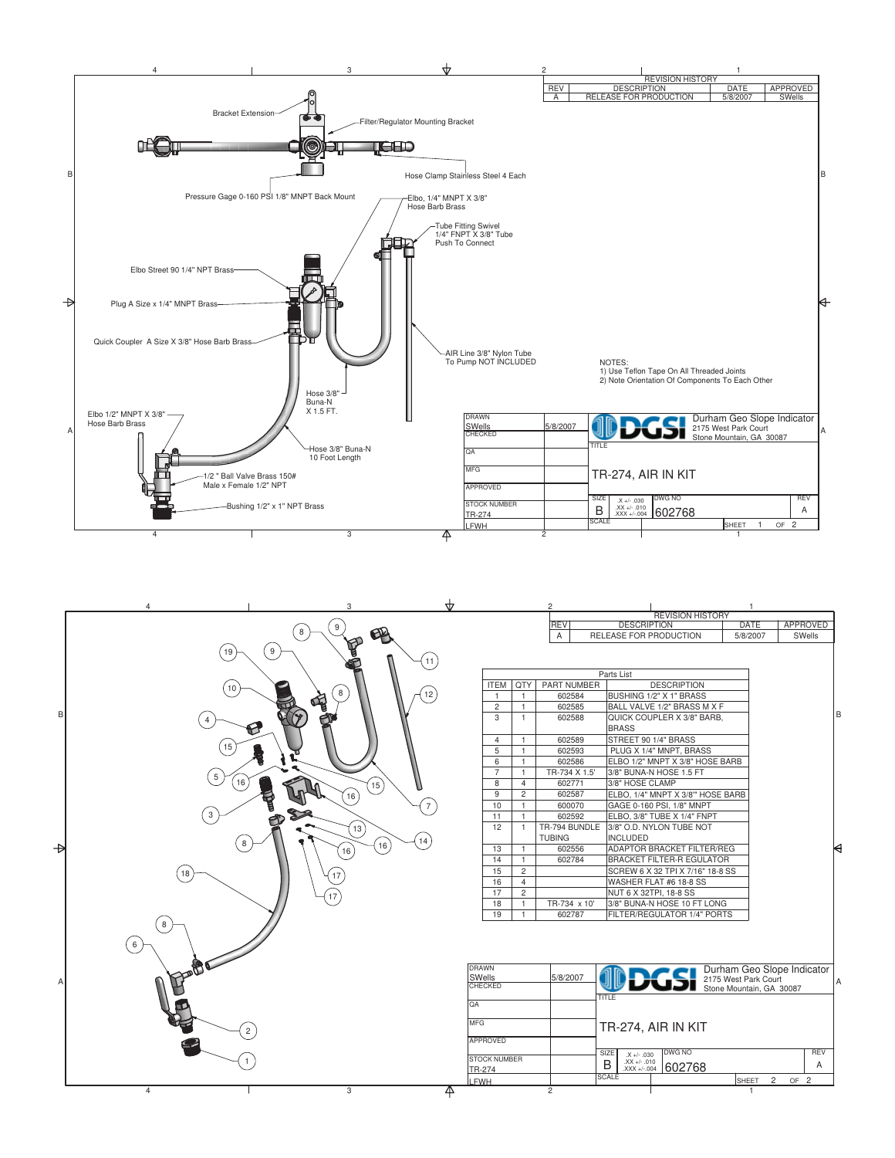



|                        |                | $\sim$             | <u>RELEASE FUR FRUDUUTIUN</u>                                      | JI OI ZUU I                 |                      | ovvens     |   |
|------------------------|----------------|--------------------|--------------------------------------------------------------------|-----------------------------|----------------------|------------|---|
|                        |                |                    |                                                                    |                             |                      |            |   |
|                        |                |                    | Parts List                                                         |                             |                      |            |   |
| <b>ITEM</b>            | QTY            | <b>PART NUMBER</b> | <b>DESCRIPTION</b>                                                 |                             |                      |            |   |
| 1                      | 1              | 602584             | BUSHING 1/2" X 1" BRASS                                            |                             |                      |            |   |
| 2                      | 1              | 602585             |                                                                    | BALL VALVE 1/2" BRASS M X F |                      |            |   |
| 3<br>1<br>602588       |                |                    | QUICK COUPLER X 3/8" BARB.                                         |                             |                      |            | B |
|                        |                |                    |                                                                    | <b>BRASS</b>                |                      |            |   |
| 4                      | 1              | 602589             | STREET 90 1/4" BRASS                                               |                             |                      |            |   |
| 5                      | 1              | 602593             | PLUG X 1/4" MNPT, BRASS                                            |                             |                      |            |   |
| 6                      | 1              | 602586             | ELBO 1/2" MNPT X 3/8" HOSE BARB                                    |                             |                      |            |   |
| $\overline{7}$         | 1              | TR-734 X 1.5'      | 3/8" BUNA-N HOSE 1.5 FT                                            |                             |                      |            |   |
| 8                      | 4              | 602771             | 3/8" HOSE CLAMP                                                    |                             |                      |            |   |
| 9                      | $\overline{c}$ | 602587             | ELBO, 1/4" MNPT X 3/8" HOSE BARB                                   |                             |                      |            |   |
| 10                     | 1              | 600070             | GAGE 0-160 PSI, 1/8" MNPT                                          |                             |                      |            |   |
| 11                     | 1              | 602592             | ELBO, 3/8" TUBE X 1/4" FNPT                                        |                             |                      |            |   |
| 12                     | 1              | TR-794 BUNDLE      | 3/8" O.D. NYLON TUBE NOT                                           |                             |                      |            |   |
|                        |                | <b>TUBING</b>      | <b>INCLUDED</b>                                                    |                             |                      |            |   |
| 13                     | 1              | 602556             | <b>ADAPTOR BRACKET FILTER/REG</b>                                  |                             |                      |            | ⊌ |
| 14                     | 1              | 602784             | <b>BRACKET FILTER-R EGULATOR</b>                                   |                             |                      |            |   |
| 15                     | 2              |                    | SCREW 6 X 32 TPI X 7/16" 18-8 SS                                   |                             |                      |            |   |
| 16                     | 4              |                    | WASHER FLAT #6 18-8 SS                                             |                             |                      |            |   |
| 17                     | $\overline{c}$ |                    | NUT 6 X 32TPI, 18-8 SS                                             |                             |                      |            |   |
| 18                     | 1              | TR-734 x 10'       | 3/8" BUNA-N HOSE 10 FT LONG                                        |                             |                      |            |   |
| 19                     | 1              | 602787             | FILTER/REGULATOR 1/4" PORTS                                        |                             |                      |            |   |
|                        |                |                    |                                                                    |                             |                      |            |   |
| <b>AWN</b>             |                | 5/8/2007           | <b>DGSI</b> Durniann Cooper Park Court<br>Stone Mountain, GA 30087 | Durham Geo Slope Indicator  |                      |            |   |
| Nells<br><b>IECKED</b> |                |                    |                                                                    |                             |                      |            | A |
|                        |                |                    | TITLE                                                              |                             |                      |            |   |
|                        |                |                    |                                                                    |                             |                      |            |   |
| FG.                    |                |                    | TR-274. AIR IN KIT                                                 |                             |                      |            |   |
|                        |                |                    |                                                                    |                             |                      |            |   |
| <b>PROVED</b>          |                |                    |                                                                    |                             |                      |            |   |
| <b>OCK NUMBER</b>      |                |                    | SIZE<br>DWG NO<br>$X +/- .030$<br>$XX +/- .010$                    |                             |                      | <b>RFV</b> |   |
| $3-274$                |                |                    | B<br>602768<br>$XXX + -0.004$                                      |                             |                      | A          |   |
| WH                     |                |                    | <b>SCALE</b>                                                       | SHEET                       | $\overline{c}$<br>OF | 2          |   |
|                        |                | $\overline{c}$     |                                                                    | 1                           |                      |            |   |
|                        |                |                    |                                                                    |                             |                      |            |   |

**REVISION HISTORY** 

**DATE** 

APPROVED

**DESCRIPTION** 

REV